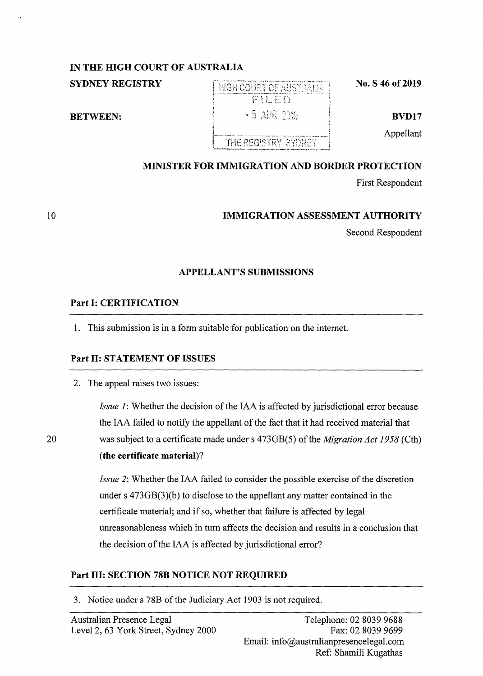# **IN THE HIGH COURT OF AUSTRALIA**

**SYDNEY REGISTRY** 

**BETWEEN:** 

# ~-· ,,.\_ .. "---.... --~· .. ,., ...... ,, .. """~ . ...,.~,., .. ~-- ,.,\_\_ .. -- .  ${+}$ HIGH COURT OF AUSTRALIA '<br>' - 5 公座 2019

THE REGISTRY SYDNEY

**No. S 46 of 2019** 

**BVD17** 

Appellant

# **MINISTER FOR IMMIGRATION AND BORDER PROTECTION**

First Respondent

# **IMMIGRATION ASSESSMENT AUTHORITY**

Second Respondent

# **APPELLANT'S SUBMISSIONS**

## **Part** I: **CERTIFICATION**

1. This submission is in a form suitable for publication on the internet.

## **Part** II: **STATEMENT OF ISSUES**

2. The appeal raises two issues:

*Issue 1:* Whether the decision of the IAA is affected by jurisdictional error because the IAA failed to notify the appellant of the fact that it had received material that 20 was subject to a certificate made under s 473GB(5) of the *Migration Act 1958* (Cth) **(the certificate material)?** 

> *Issue* 2: Whether the IAA failed to consider the possible exercise of the discretion under s 473GB(3)(b) to disclose to the appellant any matter contained in the certificate material; and if so, whether that failure is affected by legal unreasonableness which in turn affects the decision and results in a conclusion that the decision of the IAA is affected by jurisdictional error?

# **Part** III: **SECTION 78B NOTICE NOT REQUIRED**

3. Notice under s 78B of the Judiciary Act 1903 is not required.

10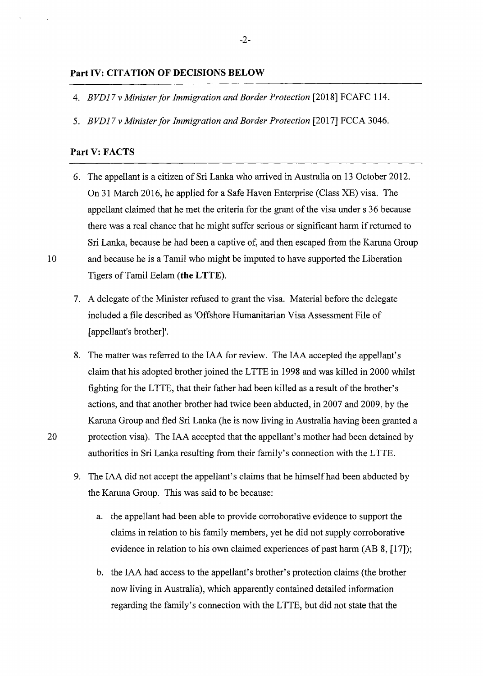#### **Part IV: CITATION OF DECISIONS BELOW**

- 4. *BVDJ* 7 *v Minister for Immigration and Border Protection* [2018] FCAFC 114.
- 5. *BVDJ7 v Minister for Immigration and Border Protection* [2017] FCCA 3046.

### **Part V: FACTS**

- 6. The appellant is a citizen of Sri Lanka who arrived in Australia on 13 October 2012. On 31 March 2016, he applied for a Safe Haven Enterprise (Class XE) visa. The appellant claimed that he met the criteria for the grant of the visa under s 36 because there was a real chance that he might suffer serious or significant harm if returned to Sri Lanka, because he had been a captive of, and then escaped from the Karuna Group 10 and because he is a Tamil who might be imputed to have supported the Liberation Tigers of Tamil Eelam ( **the L TTE).** 
	- 7. A delegate of the Minister refused to grant the visa. Material before the delegate included a file described as 'Offshore Humanitarian Visa Assessment File of [appellant's brother]'.
- 8. The matter was referred to the IAA for review. The IAA accepted the appellant's claim that his adopted brother joined the L TTE in 1998 and was killed in 2000 whilst fighting for the LTTE, that their father had been killed as a result of the brother's actions, and that another brother had twice been abducted, in 2007 and 2009, by the Karuna Group and fled Sri Lanka (he is now living in Australia having been granted a 20 protection visa). The IAA accepted that the appellant's mother had been detained by authorities in Sri Lanka resulting from their family's connection with the LTTE.
	- 9. The IAA did not accept the appellant's claims that he himself had been abducted by the Karuna Group. This was said to be because:
		- a. the appellant had been able to provide corroborative evidence to support the claims in relation to his family members, yet he did not supply corroborative evidence in relation to his own claimed experiences of past harm (AB 8, [17]);
		- b. the IAA had access to the appellant's brother's protection claims (the brother now living in Australia), which apparently contained detailed information regarding the family's connection with the LTTE, but did not state that the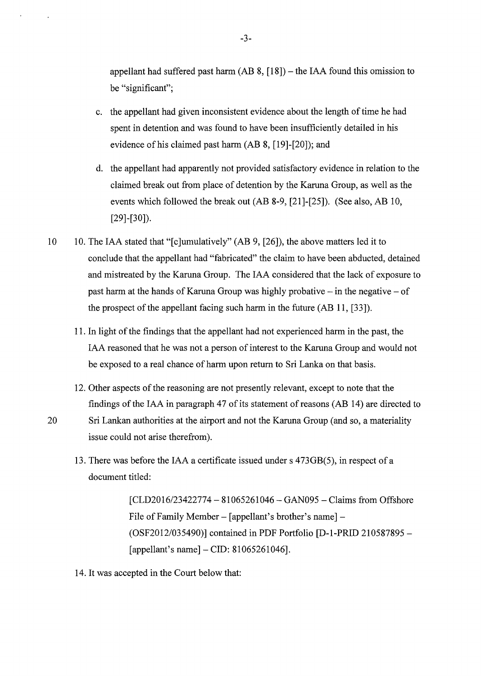appellant had suffered past harm  $(AB 8, [18])$  – the IAA found this omission to be "significant";

- c. the appellant had given inconsistent evidence about the length of time he had spent in detention and was found to have been insufficiently detailed in his evidence of his claimed past harm (AB 8, [19]-[20]); and
- d. the appellant had apparently not provided satisfactory evidence in relation to the claimed break out from place of detention by the Karuna Group, as well as the events which followed the break out (AB 8-9, [21]-[25]). (See also, AB 10, [29]-[30]).
- 10 10. The IAA stated that "[c]umulatively" (AB 9, [26]), the above matters led it to conclude that the appellant had "fabricated" the claim to have been abducted, detained and mistreated by the Karuna Group. The IAA considered that the lack of exposure to past harm at the hands of Karuna Group was highly probative  $-$  in the negative  $-$  of the prospect of the appellant facing such harm in the future (AB 11, [33]).
	- 11. In light of the findings that the appellant had not experienced harm in the past, the IAA reasoned that he was not a person of interest to the Karuna Group and would not be exposed to a real chance of harm upon return to Sri Lanka on that basis.
	- 12. Other aspects of the reasoning are not presently relevant, except to note that the findings of the IAA in paragraph 47 of its statement of reasons (AB 14) are directed to
- 20 Sri Lankan authorities at the airport and not the Karuna Group (and so, a materiality issue could not arise therefrom).
	- 13. There was before the IAA a certificate issued under s 473GB(5), in respect of a document titled:

 $[CLD2016/23422774 - 81065261046 - GAN095 - Clains from Offshore$ File of Family Member – [appellant's brother's name] – (OSF2012/035490)] contained in PDF Portfolio [D-1-PRID 210587895 -  $[appellant's name] - CID: 81065261046]$ .

14. It was accepted in the Court below that: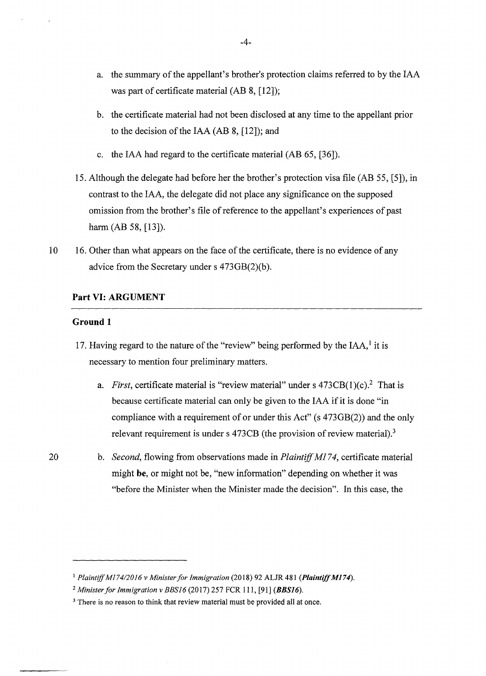- a. the summary of the appellant's brother's protection claims referred to by the IAA was part of certificate material (AB 8, [12]);
- b. the certificate material had not been disclosed at any time to the appellant prior to the decision of the IAA (AB 8, [12]); and
- c. the IAA had regard to the certificate material (AB 65, [36]).
- 15. Although the delegate had before her the brother's protection visa file (AB 55, [5]), in contrast to the IAA, the delegate did not place any significance on the supposed omission from the brother's file of reference to the appellant's experiences of past harm (AB 58, [13]).
- 10 16. Other than what appears on the face of the certificate, there is no evidence of any advice from the Secretary under s 473GB(2)(b).

### **Part VI: ARGUMENT**

### **Ground 1**

- 17. Having regard to the nature of the "review" being performed by the  $IAA$ , it is necessary to mention four preliminary matters.
	- a. *First*, certificate material is "review material" under s 473CB(1)(c).<sup>2</sup> That is because certificate material can only be given to the IAA if it is done "in compliance with a requirement of or under this Act" (s 473GB(2)) and the only relevant requirement is under s  $473CB$  (the provision of review material).<sup>3</sup>
- 20 b. *Second,* flowing from observations made in *Plaintiff* Ml *74,* certificate material might **be,** or might not be, "new information" depending on whether it was "before the Minister when the Minister made the decision". In this case, the

<sup>&</sup>lt;sup>1</sup> Plaintiff M174/2016 v Minister for Immigration (2018) 92 ALJR 481 (Plaintiff M174).

<sup>2</sup>*Minister for Immigration v BBS16* (2017) 257 FCR 111, [91] **(BBS16).** 

<sup>&</sup>lt;sup>3</sup> There is no reason to think that review material must be provided all at once.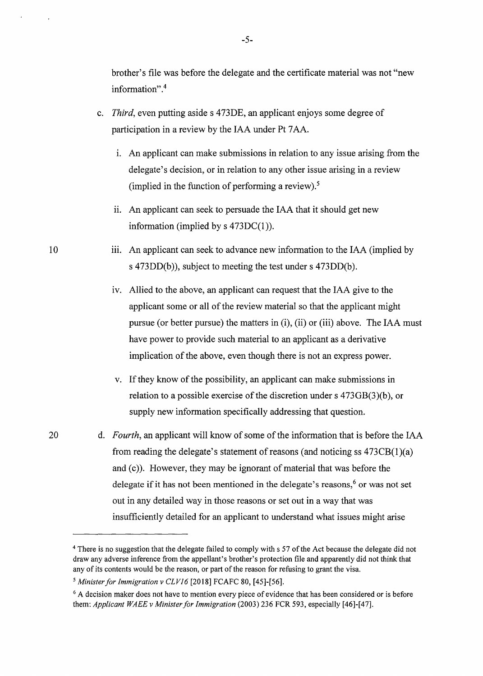brother's file was before the delegate and the certificate material was not "new information". 4

- c. *Third,* even putting asides 473DE, an applicant enjoys some degree of participation in a review by the IAA under Pt 7AA.
	- 1. An applicant can make submissions in relation to any issue arising from the delegate's decision, or in relation to any other issue arising in a review (implied in the function of performing a review).<sup>5</sup>
	- ii. An applicant can seek to persuade the IAA that it should get new information (implied by  $s$  473DC(1)).
- iii. An applicant can seek to advance new information to the IAA (implied by s 473DD(b)), subject to meeting the test under s 473DD(b).
	- iv. Allied to the above, an applicant can request that the IAA give to the applicant some or all of the review material so that the applicant might pursue ( or better pursue) the matters in (i), (ii) or (iii) above. The IAA must have power to provide such material to an applicant as a derivative implication of the above, even though there is not an express power.
	- v. If they know of the possibility, an applicant can make submissions in relation to a possible exercise of the discretion under s 473GB(3)(b), or supply new information specifically addressing that question.
- 20 d. *Fourth,* an applicant will know of some of the information that is before the IAA from reading the delegate's statement of reasons (and noticing ss  $473CB(1)(a)$ ) and (c)). However, they may be ignorant of material that was before the delegate if it has not been mentioned in the delegate's reasons, $6$  or was not set out in any detailed way in those reasons or set out in a way that was insufficiently detailed for an applicant to understand what issues might arise

10

<sup>&</sup>lt;sup>4</sup> There is no suggestion that the delegate failed to comply with s 57 of the Act because the delegate did not draw any adverse inference from the appellant's brother's protection file and apparently did not think that any of its contents would be the reason, or part of the reason for refusing to grant the visa.

*<sup>5</sup> Minister for Immigration v CLV16* [2018] FCAFC 80, [45]-[56].

<sup>&</sup>lt;sup>6</sup> A decision maker does not have to mention every piece of evidence that has been considered or is before them: *Applicant WAEE v Minister for Immigration* (2003) 236 FCR 593, especially [46]-[47].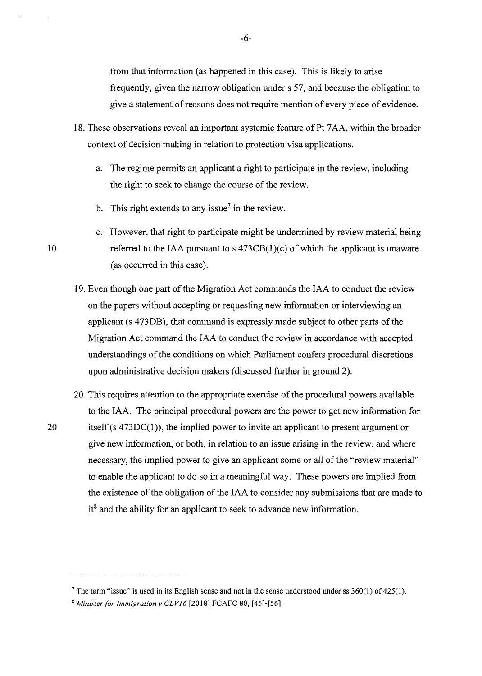from that information (as happened in this case). This is likely to arise frequently, given the narrow obligation under s 57, and because the obligation to give a statement of reasons does not require mention of every piece of evidence.

- 18. These observations reveal an important systemic feature of Pt 7 AA, within the broader context of decision making in relation to protection visa applications.
	- a. The regime permits an applicant a right to participate in the review, including the right to seek to change the course of the review.
	- b. This right extends to any issue<sup>7</sup> in the review.
- c. However, that right to participate might be undermined by review material being 10 referred to the IAA pursuant to s 473CB(1)(c) of which the applicant is unaware ( as occurred in this case).
	- 19. Even though one part of the Migration Act commands the IAA to conduct the review on the papers without accepting or requesting new information or interviewing an applicant (s 473DB), that command is expressly made subject to other parts of the Migration Act command the IAA to conduct the review in accordance with accepted understandings of the conditions on which Parliament confers procedural discretions upon administrative decision makers ( discussed further in ground 2).
- 20. This requires attention to the appropriate exercise of the procedural powers available to the IAA. The principal procedural powers are the power to get new information for 20 itself (s 473DC(1)), the implied power to invite an applicant to present argument or give new information, or both, in relation to an issue arising in the review, and where necessary, the implied power to give an applicant some or all of the "review material" to enable the applicant to do so in a meaningful way. These powers are implied from the existence of the obligation of the IAA to consider any submissions that are made to  $it^8$  and the ability for an applicant to seek to advance new information.

<sup>&</sup>lt;sup>7</sup>The term "issue" is used in its English sense and not in the sense understood under ss  $360(1)$  of  $425(1)$ .

<sup>8</sup> *Minister for Immigration v CLV16* [2018] FCAFC 80, [45]-[56].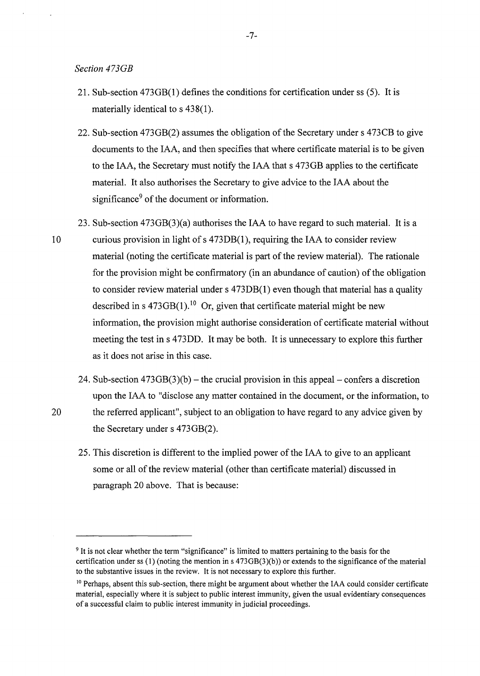*Section 473GB* 

- 21. Sub-section 473GB(l) defines the conditions for certification under ss (5). It is materially identical to s 438(1).
- 22. Sub-section 473GB(2) assumes the obligation of the Secretary under s 473CB to give documents to the IAA, and then specifies that where certificate material is to be given to the IAA, the Secretary must notify the IAA that s 473GB applies to the certificate material. It also authorises the Secretary to give advice to the IAA about the significance<sup>9</sup> of the document or information.
- 23. Sub-section 473GB(3)(a) authorises the IAA to have regard to such material. It is a 10 curious provision in light of s 473DB(1), requiring the IAA to consider review material (noting the certificate material is part of the review material). The rationale for the provision might be confirmatory (in an abundance of caution) of the obligation to consider review material under s 473DB(l) even though that material has a quality described in s  $473GB(1)$ .<sup>10</sup> Or, given that certificate material might be new information, the provision might authorise consideration of certificate material without meeting the test in s 473DD. It may be both. It is unnecessary to explore this further as it does not arise in this case.
- 24. Sub-section  $473GB(3)(b)$  the crucial provision in this appeal confers a discretion upon the IAA to "disclose any matter contained in the document, or the information, to 20 the referred applicant", subject to an obligation to have regard to any advice given by the Secretary under s 473GB(2).
	- 25. This discretion is different to the implied power of the IAA to give to an applicant some or all of the review material (other than certificate material) discussed in paragraph 20 above. That is because:

<sup>9</sup> It is not clear whether the term "significance" is limited to matters pertaining to the basis for the certification under ss (1) (noting the mention in s  $473GB(3)(b)$ ) or extends to the significance of the material to the substantive issues in the review. It is not necessary to explore this further.

<sup>&</sup>lt;sup>10</sup> Perhaps, absent this sub-section, there might be argument about whether the IAA could consider certificate material, especially where it is subject to public interest immunity, given the usual evidentiary consequences of a successful claim to public interest immunity in judicial proceedings.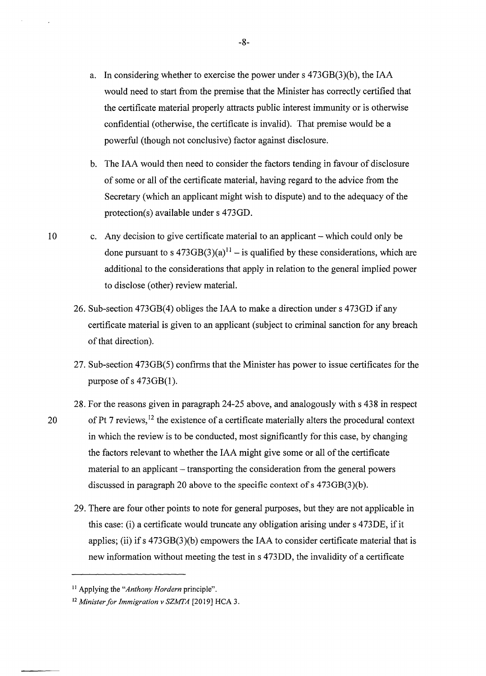- a. In considering whether to exercise the power under s 473GB(3)(b), the IAA would need to start from the premise that the Minister has correctly certified that the certificate material properly attracts public interest immunity or is otherwise confidential ( otherwise, the certificate is invalid). That premise would be a powerful (though not conclusive) factor against disclosure.
- b. The IAA would then need to consider the factors tending in favour of disclosure of some or all of the certificate material, having regard to the advice from the Secretary (which an applicant might wish to dispute) and to the adequacy of the protection(s) available under s 473GD.
- 10 c. Any decision to give certificate material to an applicant which could only be done pursuant to s  $473GB(3)(a)^{11}$  – is qualified by these considerations, which are additional to the considerations that apply in relation to the general implied power to disclose (other) review material.
	- 26. Sub-section 473GB(4) obliges the IAA to make a direction under s 473GD if any certificate material is given to an applicant (subject to criminal sanction for any breach of that direction).
	- 27. Sub-section 473GB(5) confirms that the Minister has power to issue certificates for the purpose of  $s$  473GB(1).
- 28. For the reasons given in paragraph 24-25 above, and analogously with s 438 in respect 20 of Pt 7 reviews,  $12$  the existence of a certificate materially alters the procedural context in which the review is to be conducted, most significantly for this case, by changing the factors relevant to whether the IAA might give some or all of the certificate material to an applicant – transporting the consideration from the general powers discussed in paragraph 20 above to the specific context of s 473GB(3)(b).
	- 29. There are four other points to note for general purposes, but they are not applicable in this case: (i) a certificate would truncate any obligation arising under s 473DE, if it applies; (ii) if  $s$  473 $GB(3)$ (b) empowers the IAA to consider certificate material that is new information without meeting the test ins 473DD, the invalidity of a certificate

-8-

<sup>11</sup> Applying the *"Anthony Hordern* principle".

<sup>12</sup> *Minister for Immigration v SZMTA* [2019] HCA 3.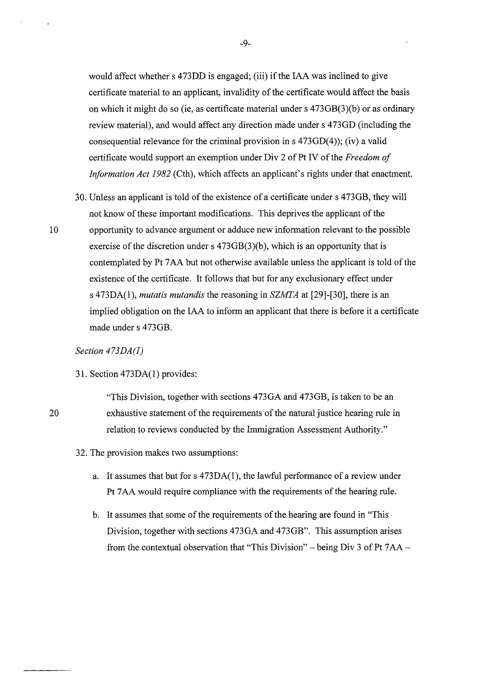would affect whether s 473DD is engaged; (iii) if the IAA was inclined to give certificate material to an applicant, invalidity of the certificate would affect the basis on which it might do so (ie, as certificate material under s 473GB(3)(b) or as ordinary review material), and would affect any direction made under s 473GD (including the consequential relevance for the criminal provision in  $s$  473GD(4)); (iv) a valid certificate would support an exemption under Div 2 of Pt IV of the *Freedom of Information Act 1982* (Cth), which affects an applicant's rights under that enactment.

30. Unless an applicant is told of the existence of a certificate under s 4 73GB, they will not know of these important modifications. This deprives the applicant of the 10 opportunity to advance argument or adduce new information relevant to the possible exercise of the discretion under s 473GB(3)(b), which is an opportunity that is contemplated by Pt 7 AA but not otherwise available unless the applicant is told of the existence of the certificate. It follows that but for any exclusionary effect under s 473DA(l), *mutatis mutandis* the reasoning in *SZMTA* at [29]-[30], there is an implied obligation on the IAA to inform an applicant that there is before it a certificate made under s 473GB.

### *Section 473DA(l)*

31. Section 473DA(l) provides:

"This Division, together with sections 473OA and 473GB, is taken to be an exhaustive statement of the requirements of the natural justice hearing rule in relation to reviews conducted by the Immigration Assessment Authority."

- 32. The provision makes two assumptions:
	- a. It assumes that but for  $s$  473DA(1), the lawful performance of a review under Pt 7 AA would require compliance with the requirements of the hearing rule.
	- b. It assumes that some of the requirements of the hearing are found in "This Division, together with sections 473GA and 473GB". This assumption arises from the contextual observation that "This Division" – being Div 3 of Pt  $7AA$  –

20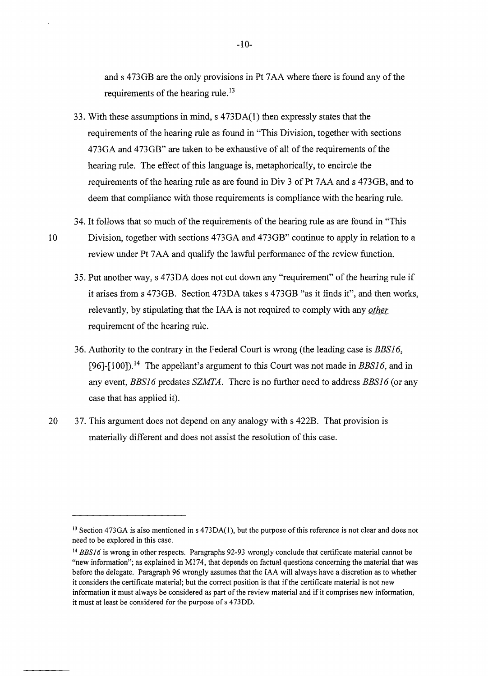and s 473GB are the only provisions in Pt 7AA where there is found any of the requirements of the hearing rule.<sup>13</sup>

- 33. With these assumptions in mind, s 473DA(l) then expressly states that the requirements of the hearing rule as found in "This Division, together with sections 473GA and 473GB" are taken to be exhaustive of all of the requirements of the hearing rule. The effect of this language is, metaphorically, to encircle the requirements of the hearing rule as are found in Div 3 of Pt 7AA and s 473GB, and to deem that compliance with those requirements is compliance with the hearing rule.
- 34. It follows that so much of the requirements of the hearing rule as are found in "This 10 Division, together with sections 473GA and 473GB" continue to apply in relation to a review under Pt 7AA and qualify the lawful performance of the review function.
	- 35. Put another way, s 473DA does not cut down any "requirement" of the hearing rule if it arises from s 473GB. Section 473DA takes s 473GB "as it finds it", and then works, relevantly, by stipulating that the IAA is not required to comply with any *other*  requirement of the hearing rule.
	- 36. Authority to the contrary in the Federal Court is wrong (the leading case is *BBS] 6,*  [96]-[100]). 14 The appellant's argument to this Court was not made in *BBSl6,* and in any event, *BBSl6* predates *SZMTA.* There is no further need to address *BBSl6* (or any case that has applied it).
- 20 37. This argument does not depend on any analogy with s 422B. That provision is materially different and does not assist the resolution of this case.

<sup>&</sup>lt;sup>13</sup> Section 473GA is also mentioned in s 473DA(1), but the purpose of this reference is not clear and does not need to be explored in this case.

<sup>&</sup>lt;sup>14</sup> BBS16 is wrong in other respects. Paragraphs 92-93 wrongly conclude that certificate material cannot be "new information"; as explained in M174, that depends on factual questions concerning the material that was before the delegate. Paragraph 96 wrongly assumes that the IAA will always have a discretion as to whether it considers the certificate material; but the correct position is that if the certificate material is not new information it must always be considered as part of the review material and if it comprises new information, it must at least be considered for the purpose of s 473DD.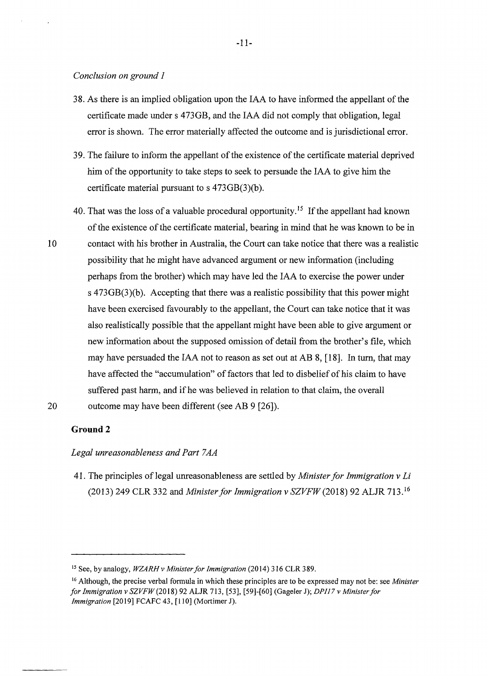#### *Conclusion on ground 1*

- 38. As there is an implied obligation upon the IAA to have informed the appellant of the certificate made under s 473GB, and the IAA did not comply that obligation, legal error is shown. The error materially affected the outcome and is jurisdictional error.
- 39. The failure to inform the appellant of the existence of the certificate material deprived him of the opportunity to take steps to seek to persuade the IAA to give him the certificate material pursuant to s 473GB(3)(b).
- 40. That was the loss of a valuable procedural opportunity.<sup>15</sup> If the appellant had known of the existence of the certificate material, bearing in mind that he was known to be in 10 contact with his brother in Australia, the Court can take notice that there was a realistic possibility that he might have advanced argument or new information (including perhaps from the brother) which may have led the IAA to exercise the power under s 473GB(3)(b). Accepting that there was a realistic possibility that this power might have been exercised favourably to the appellant, the Court can take notice that it was also realistically possible that the appellant might have been able to give argument or new information about the supposed omission of detail from the brother's file, which may have persuaded the IAA not to reason as set out at AB 8, [18]. In turn, that may have affected the "accumulation" of factors that led to disbelief of his claim to have suffered past harm, and if he was believed in relation to that claim, the overall 20 outcome may have been different (see AB 9 [26]).

### **Ground2**

#### *Legal unreasonableness and Part* 7 *AA*

41. The principles of legal unreasonableness are settled by *Minister for Immigration v Li*  (2013) 249 CLR 332 and *Minister for Immigration v SZVFW* (2018) 92 ALJR 713. 16

<sup>15</sup> See, by analogy, *WZARHv Minister for Immigration* (2014) 316 CLR 389.

<sup>16</sup> Although, the precise verbal formula in which these principles are to be expressed may not be: see *Minister for Immigration v SZVFW* (2018) 92 ALJR 713, [53], [59]-[60] (Gageler J); *DPl17 v Minister for Immigration* [2019] FCAFC 43, [110] (Mortimer J).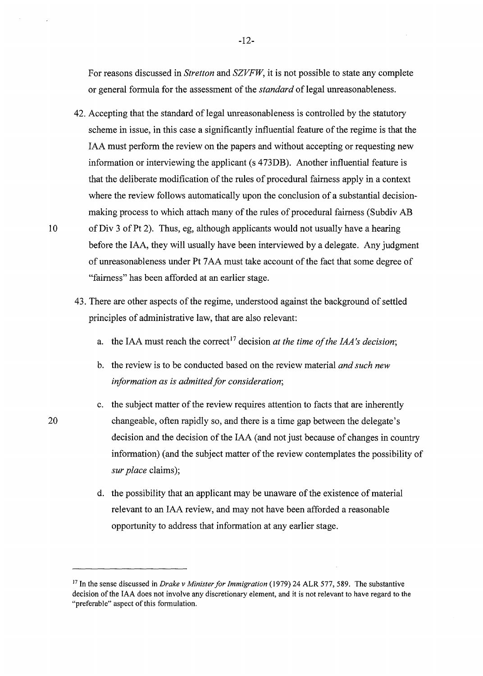For reasons discussed in *Stretton* and *SZVFW,* it is not possible to state any complete or general formula for the assessment of the *standard* of legal unreasonableness.

- 42. Accepting that the standard of legal unreasonableness is controlled by the statutory scheme in issue, in this case a significantly influential feature of the regime is that the IAA must perform the review on the papers and without accepting or requesting new information or interviewing the applicant (s 4 73DB). Another influential feature is that the deliberate modification of the rules of procedural fairness apply in a context where the review follows automatically upon the conclusion of a substantial decisionmaking process to which attach many of the rules of procedural fairness (Subdiv AB 10 ofDiv 3 of Pt 2). Thus, eg, although applicants would not usually have a hearing before the IAA, they will usually have been interviewed by a delegate. Any judgment
	- of unreasonableness under Pt 7 AA must take account of the fact that some degree of "fairness" has been afforded at an earlier stage.
	- 43. There are other aspects of the regime, understood against the background of settled principles of administrative law, that are also relevant:
		- a. the IAA must reach the correct<sup>17</sup> decision *at the time of the IAA's decision*;
		- b. the review is to be conducted based on the review material *and such new information as is admitted for consideration;*
		- c. the subject matter of the review requires attention to facts that are inherently changeable, often rapidly so, and there is a time gap between the delegate's decision and the decision of the IAA ( and not just because of changes in country information) (and the subject matter of the review contemplates the possibility of *sur place* claims);
			- d. the possibility that an applicant may be unaware of the existence of material relevant to an IAA review, and may not have been afforded a reasonable opportunity to address that information at any earlier stage.

<sup>17</sup> In the sense discussed in *Drake v Minister for Immigration* (1979) 24 ALR 577,589. The substantive decision of the IAA does not involve any discretionary element, and it is not relevant to have regard to the "preferable" aspect of this formulation.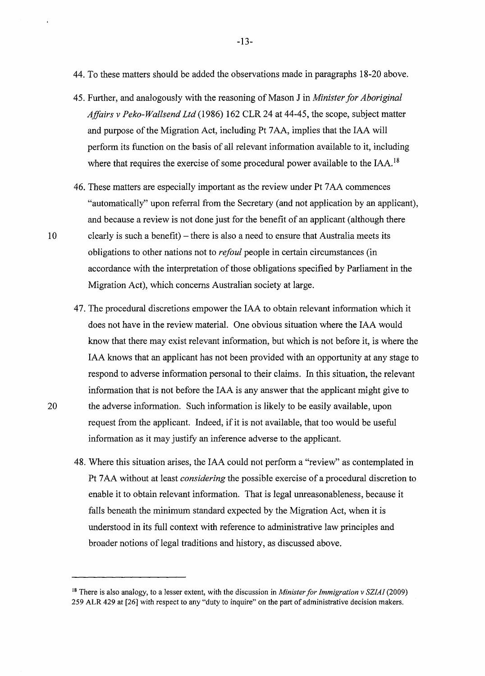- 44. To these matters should be added the observations made in paragraphs 18-20 above.
- 45. Further, and analogously with the reasoning of Mason Jin *Minister for Aboriginal Affairs v Peko-Wallsend Ltd* (1986) 162 CLR 24 at 44-45, the scope, subject matter and purpose of the Migration Act, including Pt 7 AA, implies that the IAA will perform its function on the basis of all relevant information available to it, including where that requires the exercise of some procedural power available to the IAA.<sup>18</sup>
- 46. These matters are especially important as the review under Pt 7 AA commences "automatically" upon referral from the Secretary (and not application by an applicant), and because a review is not done just for the benefit of an applicant ( although there 10 clearly is such a benefit) - there is also a need to ensure that Australia meets its obligations to other nations not to *refoul* people in certain circumstances (in accordance with the interpretation of those obligations specified by Parliament in the Migration Act), which concerns Australian society at large.
- 47. The procedural discretions empower the IAA to obtain relevant information which it does not have in the review material. One obvious situation where the IAA would know that there may exist relevant information, but which is not before it, is where the IAA knows that an applicant has not been provided with an opportunity at any stage to respond to adverse information personal to their claims. In this situation, the relevant information that is not before the IAA is any answer that the applicant might give to 20 the adverse information. Such information is likely to be easily available, upon request from the applicant. Indeed, if it is not available, that too would be useful information as it may justify an inference adverse to the applicant.
	- 48. Where this situation arises, the IAA could not perform a "review" as contemplated in Pt 7 AA without at least *considering* the possible exercise of a procedural discretion to enable it to obtain relevant information. That is legal unreasonableness, because it falls beneath the minimum standard expected by the Migration Act, when it is understood in its full context with reference to administrative law principles and broader notions of legal traditions and history, as discussed above.

<sup>18</sup> There is also analogy, to a lesser extent, with the discussion in *Minister for Immigration v SZIAI* (2009) 259 ALR 429 at [26] with respect to any "duty to inquire" on the part of administrative decision makers.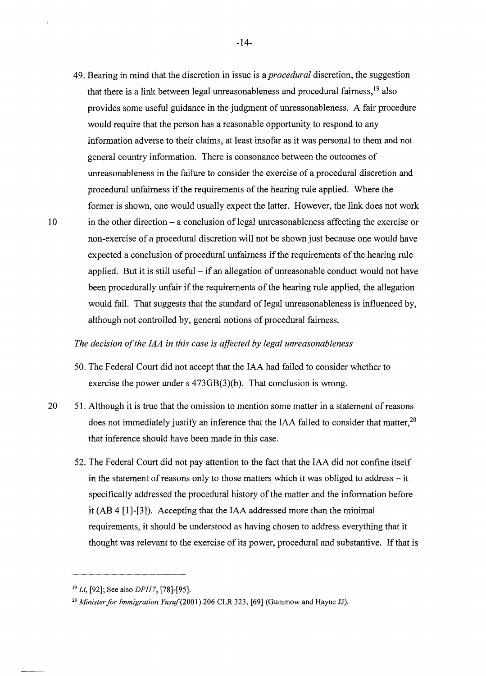49. Bearing in mind that the discretion in issue is a *procedural* discretion, the suggestion that there is a link between legal unreasonableness and procedural fairness, 19 also provides some useful guidance in the judgment of unreasonableness. A fair procedure would require that the person has a reasonable opportunity to respond to any information adverse to their claims, at least insofar as it was personal to them and not general country information. There is consonance between the outcomes of unreasonableness in the failure to consider the exercise of a procedural discretion and procedural unfairness if the requirements of the hearing rule applied. Where the former is shown, one would usually expect the latter. However, the link does not work 10 in the other direction - a conclusion of legal unreasonableness affecting the exercise or non-exercise of a procedural discretion will not be shown just because one would have expected a conclusion of procedural unfairness if the requirements of the hearing rule applied. But it is still useful  $-$  if an allegation of unreasonable conduct would not have been procedurally unfair if the requirements of the hearing rule applied, the allegation would fail. That suggests that the standard of legal unreasonableness is influenced by, although not controlled by, general notions of procedural fairness.

### *The decision of the IAA in this case is affected by legal unreasonableness*

- 50. The Federal Court did not accept that the IAA had failed to consider whether to exercise the power under s 473GB(3)(b). That conclusion is wrong.
- 20 51. Although it is true that the omission to mention some matter in a statement of reasons does not immediately justify an inference that the IAA failed to consider that matter.<sup>20</sup> that inference should have been made in this case.
	- 52. The Federal Court did not pay attention to the fact that the IAA did not confine itself in the statement of reasons only to those matters which it was obliged to address  $-$  it specifically addressed the procedural history of the matter and the information before it (AB 4 [l]-[3]). Accepting that the IAA addressed more than the minimal requirements, it should be understood as having chosen to address everything that it thought was relevant to the exercise of its power, procedural and substantive. If that is

<sup>19</sup>*Li,* [92]; See also *DP117,* [78]-[95].

<sup>&</sup>lt;sup>20</sup> Minister for Immigration Yusuf (2001) 206 CLR 323, [69] (Gummow and Hayne JJ).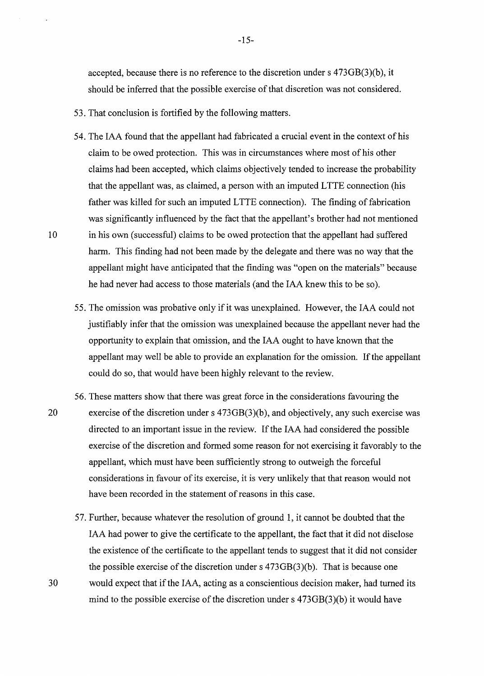accepted, because there is no reference to the discretion under s 473GB(3)(b), it should be inferred that the possible exercise of that discretion was not considered.

- 53. That conclusion is fortified by the following matters.
- 54. The IAA found that the appellant had fabricated a crucial event in the context of his claim to be owed protection. This was in circumstances where most of his other claims had been accepted, which claims objectively tended to increase the probability that the appellant was, as claimed, a person with an imputed L TTE connection (his father was killed for such an imputed LTTE connection). The finding of fabrication was significantly influenced by the fact that the appellant's brother had not mentioned 10 in his own (successful) claims to be owed protection that the appellant had suffered harm. This finding had not been made by the delegate and there was no way that the appellant might have anticipated that the finding was "open on the materials" because he had never had access to those materials ( and the IAA knew this to be so).
	- 55. The omission was probative only if it was unexplained. However, the IAA could not justifiably infer that the omission was unexplained because the appellant never had the opportunity to explain that omission, and the IAA ought to have known that the appellant may well be able to provide an explanation for the omission. If the appellant could do so, that would have been highly relevant to the review.
- 56. These matters show that there was great force in the considerations favouring the 20 exercise of the discretion under s 473GB(3)(b), and objectively, any such exercise was directed to an important issue in the review. If the IAA had considered the possible exercise of the discretion and formed some reason for not exercising it favorably to the appellant, which must have been sufficiently strong to outweigh the forceful considerations in favour of its exercise, it is very unlikely that that reason would not have been recorded in the statement of reasons in this case.
- 57. Further, because whatever the resolution of ground 1, it cannot be doubted that the IAA had power to give the certificate to the appellant, the fact that it did not disclose the existence of the certificate to the appellant tends to suggest that it did not consider the possible exercise of the discretion under s 473GB(3)(b). That is because one 30 would expect that if the IAA, acting as a conscientious decision maker, had turned its mind to the possible exercise of the discretion under s 473GB(3)(b) it would have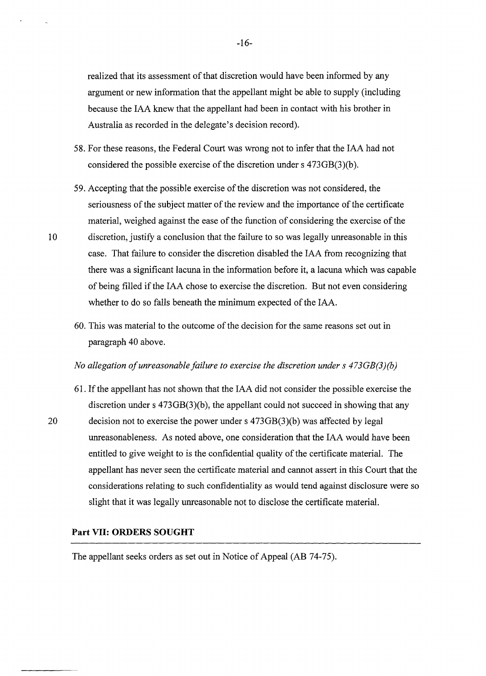realized that its assessment of that discretion would have been informed by any argument or new information that the appellant might be able to supply (including because the IAA knew that the appellant had been in contact with his brother in Australia as recorded in the delegate's decision record).

- 58. For these reasons, the Federal Court was wrong not to infer that the IAA had not considered the possible exercise of the discretion under s 473GB(3)(b).
- 59. Accepting that the possible exercise of the discretion was not considered, the seriousness of the subject matter of the review and the importance of the certificate material, weighed against the ease of the function of considering the exercise of the 10 discretion, justify a conclusion that the failure to so was legally unreasonable in this case. That failure to consider the discretion disabled the IAA from recognizing that there was a significant lacuna in the information before it, a lacuna which was capable of being filled if the IAA chose to exercise the discretion. But not even considering whether to do so falls beneath the minimum expected of the IAA.
	- 60. This was material to the outcome of the decision for the same reasons set out in paragraph 40 above.

#### *No allegation of unreasonable failure to exercise the discretion under s 473GB(3)(b)*

61. If the appellant has not shown that the IAA did not consider the possible exercise the discretion under s  $473GB(3)(b)$ , the appellant could not succeed in showing that any 20 decision not to exercise the power under s 473GB(3)(b) was affected by legal unreasonableness. As noted above, one consideration that the IAA would have been entitled to give weight to is the confidential quality of the certificate material. The appellant has never seen the certificate material and cannot assert in this Court that the considerations relating to such confidentiality as would tend against disclosure were so slight that it was legally unreasonable not to disclose the certificate material.

#### **Part VII: ORDERS SOUGHT**

The appellant seeks orders as set out in Notice of Appeal (AB 74-75).